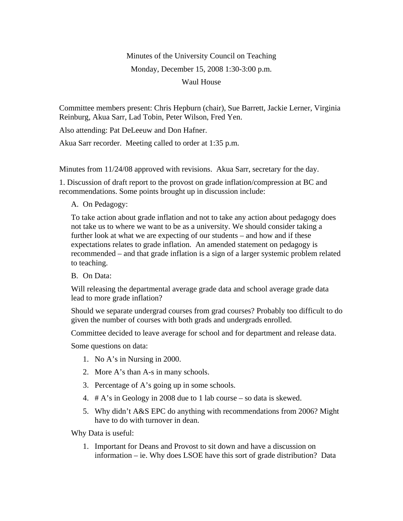## Minutes of the University Council on Teaching Monday, December 15, 2008 1:30-3:00 p.m. Waul House

Committee members present: Chris Hepburn (chair), Sue Barrett, Jackie Lerner, Virginia Reinburg, Akua Sarr, Lad Tobin, Peter Wilson, Fred Yen.

Also attending: Pat DeLeeuw and Don Hafner.

Akua Sarr recorder. Meeting called to order at 1:35 p.m.

Minutes from 11/24/08 approved with revisions. Akua Sarr, secretary for the day.

1. Discussion of draft report to the provost on grade inflation/compression at BC and recommendations. Some points brought up in discussion include:

A. On Pedagogy:

To take action about grade inflation and not to take any action about pedagogy does not take us to where we want to be as a university. We should consider taking a further look at what we are expecting of our students – and how and if these expectations relates to grade inflation. An amended statement on pedagogy is recommended – and that grade inflation is a sign of a larger systemic problem related to teaching.

B. On Data:

Will releasing the departmental average grade data and school average grade data lead to more grade inflation?

Should we separate undergrad courses from grad courses? Probably too difficult to do given the number of courses with both grads and undergrads enrolled.

Committee decided to leave average for school and for department and release data.

Some questions on data:

- 1. No A's in Nursing in 2000.
- 2. More A's than A-s in many schools.
- 3. Percentage of A's going up in some schools.
- 4. # A's in Geology in 2008 due to 1 lab course so data is skewed.
- 5. Why didn't A&S EPC do anything with recommendations from 2006? Might have to do with turnover in dean.

Why Data is useful:

1. Important for Deans and Provost to sit down and have a discussion on information – ie. Why does LSOE have this sort of grade distribution? Data